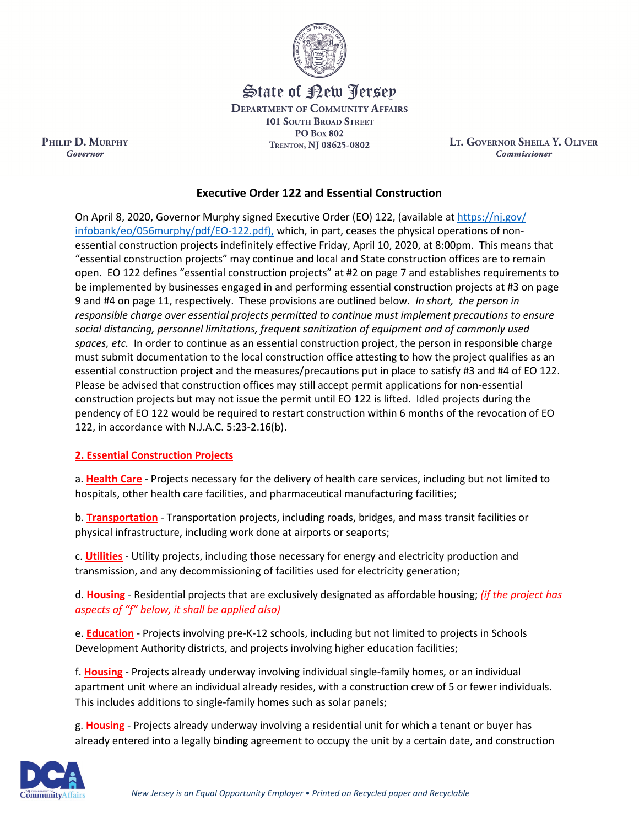

State of Rew <u>Perse</u>p

**DEPARTMENT OF COMMUNITY AFFAIRS 101 SOUTH BROAD STREET PO Box 802** TRENTON, NJ 08625-0802

LT. GOVERNOR SHEILA Y. OLIVER **Commissioner** 

# **Executive Order 122 and Essential Construction**

On April 8, 2020, Governor Murphy signed [Executive Order \(EO\) 122, \(available at https://nj.gov/](https://www.nj.gov/infobank/eo/056murphy/pdf/EO-122.pdf)  [infobank/eo/056murphy/pdf/EO-122.pdf\),](https://www.nj.gov/infobank/eo/056murphy/pdf/EO-122.pdf) which, in part, ceases the physical operations of nonessential construction projects indefinitely effective Friday, April 10, 2020, at 8:00pm. This means that "essential construction projects" may continue and local and State construction offices are to remain open. EO 122 defines "essential construction projects" at #2 on page 7 and establishes requirements to be implemented by businesses engaged in and performing essential construction projects at #3 on page 9 and #4 on page 11, respectively. These provisions are outlined below. *In short, the person in responsible charge over essential projects permitted to continue must implement precautions to ensure social distancing, personnel limitations, frequent sanitization of equipment and of commonly used spaces, etc.* In order to continue as an essential construction project, the person in responsible charge must submit documentation to the local construction office attesting to how the project qualifies as an essential construction project and the measures/precautions put in place to satisfy #3 and #4 of EO 122. Please be advised that construction offices may still accept permit applications for non-essential construction projects but may not issue the permit until EO 122 is lifted. Idled projects during the pendency of EO 122 would be required to restart construction within 6 months of the revocation of EO 122, in accordance with N.J.A.C. 5:23-2.16(b).

### **2. Essential Construction Projects**

PHILIP D. MURPHY

Governor

a. **Health Care** - Projects necessary for the delivery of health care services, including but not limited to hospitals, other health care facilities, and pharmaceutical manufacturing facilities;

b. **Transportation** - Transportation projects, including roads, bridges, and mass transit facilities or physical infrastructure, including work done at airports or seaports;

c. **Utilities** - Utility projects, including those necessary for energy and electricity production and transmission, and any decommissioning of facilities used for electricity generation;

d. **Housing** - Residential projects that are exclusively designated as affordable housing; *(if the project has aspects of "f" below, it shall be applied also)*

e. **Education** - Projects involving pre-K-12 schools, including but not limited to projects in Schools Development Authority districts, and projects involving higher education facilities;

f. **Housing** - Projects already underway involving individual single-family homes, or an individual apartment unit where an individual already resides, with a construction crew of 5 or fewer individuals. This includes additions to single-family homes such as solar panels;

g. **Housing** - Projects already underway involving a residential unit for which a tenant or buyer has already entered into a legally binding agreement to occupy the unit by a certain date, and construction

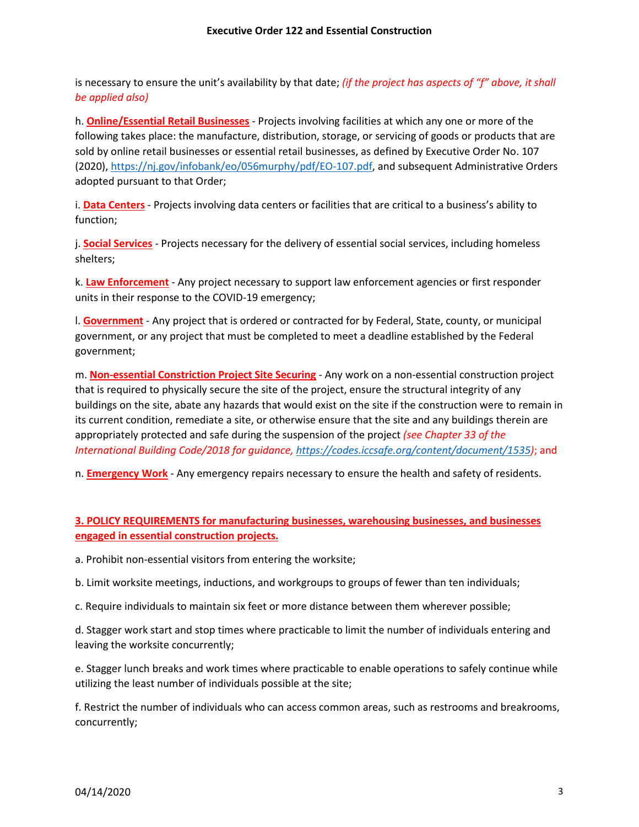is necessary to ensure the unit's availability by that date; *(if the project has aspects of "f" above, it shall be applied also)*

h. **Online/Essential Retail Businesses** - Projects involving facilities at which any one or more of the following takes place: the manufacture, distribution, storage, or servicing of goods or products that are sold by online retail businesses or essential retail businesses, as defined by Executive Order No. 107 (2020), [https://nj.gov/infobank/eo/056murphy/pdf/EO-107.pdf,](https://nj.gov/infobank/eo/056murphy/pdf/EO-107.pdf) and subsequent Administrative Orders adopted pursuant to that Order;

i. **Data Centers** - Projects involving data centers or facilities that are critical to a business's ability to function;

j. **Social Services** - Projects necessary for the delivery of essential social services, including homeless shelters;

k. **Law Enforcement** - Any project necessary to support law enforcement agencies or first responder units in their response to the COVID-19 emergency;

l. **Government** - Any project that is ordered or contracted for by Federal, State, county, or municipal government, or any project that must be completed to meet a deadline established by the Federal government;

m. **Non-essential Constriction Project Site Securing** - Any work on a non-essential construction project that is required to physically secure the site of the project, ensure the structural integrity of any buildings on the site, abate any hazards that would exist on the site if the construction were to remain in its current condition, remediate a site, or otherwise ensure that the site and any buildings therein are appropriately protected and safe during the suspension of the project *(see Chapter 33 of the International Building Code/2018 for guidance, [https://codes.iccsafe.org/content/document/1535\)](https://codes.iccsafe.org/content/document/1535)*; and

n. **Emergency Work** - Any emergency repairs necessary to ensure the health and safety of residents.

## **3. POLICY REQUIREMENTS for manufacturing businesses, warehousing businesses, and businesses engaged in essential construction projects.**

a. Prohibit non-essential visitors from entering the worksite;

b. Limit worksite meetings, inductions, and workgroups to groups of fewer than ten individuals;

c. Require individuals to maintain six feet or more distance between them wherever possible;

d. Stagger work start and stop times where practicable to limit the number of individuals entering and leaving the worksite concurrently;

e. Stagger lunch breaks and work times where practicable to enable operations to safely continue while utilizing the least number of individuals possible at the site;

f. Restrict the number of individuals who can access common areas, such as restrooms and breakrooms, concurrently;